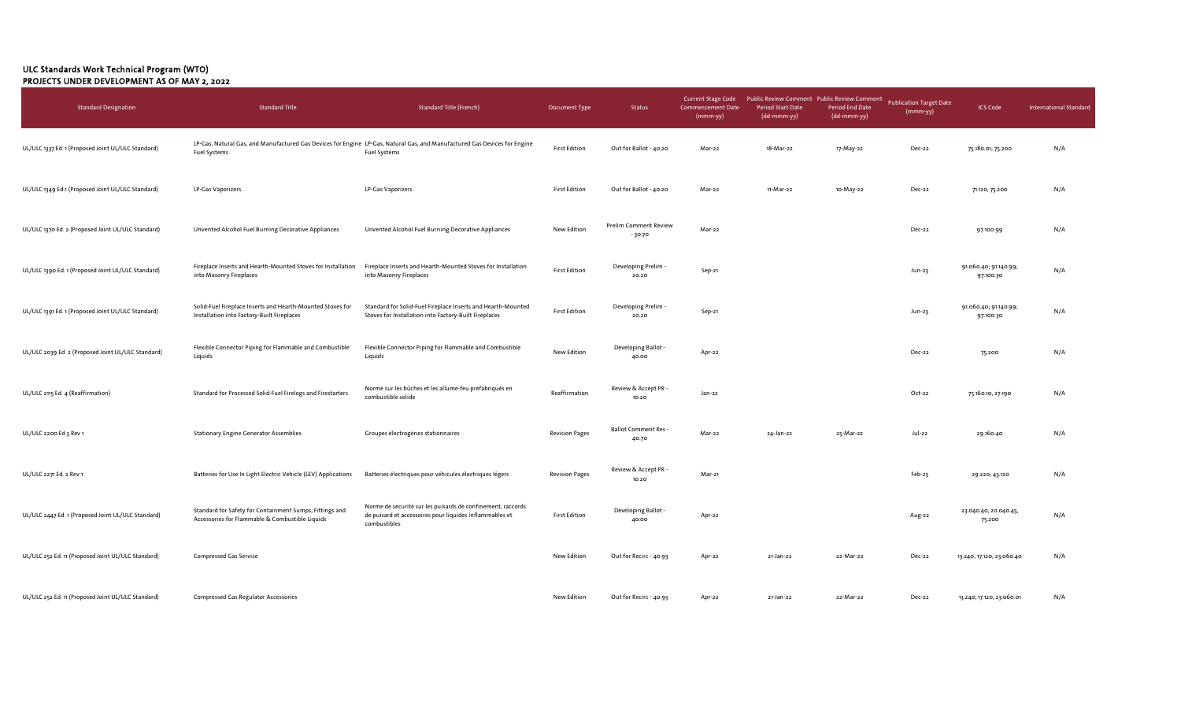## ULC Standards Work Technical Program (WTO) PROJECTS UNDER DEVELOPMENT AS OF MAY 2, 2022

| <b>Standard Designation</b>                        | <b>Standard Title</b>                                                                                      | <b>Standard Title (French)</b>                                                                                                                   | Document Type         | Status                                   | <b>Current Stage Code</b><br><b>Commencement Date</b><br>(mmm-yy) | Public Review Comment Public Review Comment<br><b>Period Start Date</b><br>(dd-mmm-yy) | <b>Period End Date</b><br>(dd-mmm-yy) | <b>Publication Target Date</b><br>(mmm-yy) | <b>ICS Code</b>                    | <b>International Standard</b> |
|----------------------------------------------------|------------------------------------------------------------------------------------------------------------|--------------------------------------------------------------------------------------------------------------------------------------------------|-----------------------|------------------------------------------|-------------------------------------------------------------------|----------------------------------------------------------------------------------------|---------------------------------------|--------------------------------------------|------------------------------------|-------------------------------|
| UL/ULC 1337 Ed. 1 (Proposed Joint UL/ULC Standard) | <b>Fuel Systems</b>                                                                                        | LP-Gas, Natural Gas, and Manufactured Gas Devices for Engine LP-Gas, Natural Gas, and Manufactured Gas Devices for Engine<br><b>Fuel Systems</b> | <b>First Edition</b>  | Out for Ballot - 40.20                   | Mar-22                                                            | 18-Mar-22                                                                              | 17-May-22                             | Dec-22                                     | 75.180.01; 75.200                  | N/A                           |
| UL/ULC 1349 Ed.1 (Proposed Joint UL/ULC Standard)  | LP-Gas Vaporizers                                                                                          | LP-Gas Vaporizers                                                                                                                                | <b>First Edition</b>  | Out for Ballot - 40.20                   | Mar-22                                                            | 11-Mar-22                                                                              | 10-May-22                             | Dec-22                                     | 71.120, 75.200                     | N/A                           |
| UL/ULC 1370 Ed. 2 (Proposed Joint UL/ULC Standard) | Unvented Alcohol Fuel Burning Decorative Appliances                                                        | Unvented Alcohol Fuel Burning Decorative Appliances                                                                                              | New Edition           | <b>Prelim Comment Review</b><br>$-30.70$ | Mar-22                                                            |                                                                                        |                                       | Dec-22                                     | 97.100.99                          | N/A                           |
| UL/ULC 1390 Ed. 1 (Proposed Joint UL/ULC Standard) | Fireplace Inserts and Hearth-Mounted Stoves for Installation<br>into Masonry Fireplaces                    | Fireplace Inserts and Hearth-Mounted Stoves for Installation<br>into Masonry Fireplaces                                                          | <b>First Edition</b>  | Developing Prelim<br>20.20               | Sep-21                                                            |                                                                                        |                                       | Jun-23                                     | 91.060.40; 91.140.99;<br>97.100.30 | N/A                           |
| UL/ULC 1391 Ed. 1 (Proposed Joint UL/ULC Standard) | Solid-Fuel Fireplace Inserts and Hearth-Mounted Stoves for<br>Installation into Factory-Built Fireplaces   | Standard for Solid-Fuel Fireplace Inserts and Hearth-Mounted<br>Stoves for Installation into Factory-Built Fireplaces                            | <b>First Edition</b>  | Developing Prelim .<br>20.20             | Sep-21                                                            |                                                                                        |                                       | Jun-23                                     | 91.060.40; 91.140.99;<br>97.100.30 | N/A                           |
| UL/ULC 2039 Ed. 2 (Proposed Joint UL/ULC Standard) | Flexible Connector Piping for Flammable and Combustible<br>Liquids                                         | Flexible Connector Piping for Flammable and Combustible<br>Liquids                                                                               | New Edition           | Developing Ballot -<br>40.00             | Apr-22                                                            |                                                                                        |                                       | Dec-22                                     | 75.200                             | N/A                           |
| UL/ULC 2115 Ed. 4 (Reaffirmation)                  | Standard for Processed Solid-Fuel Firelogs and Firestarters                                                | Norme sur les bûches et les allume-feu préfabriqués en<br>combustible solide                                                                     | Reaffirmation         | Review & Accept PR -<br>10.20            | Jan-22                                                            |                                                                                        |                                       | Oct-22                                     | 75.160.10, 27.190                  | N/A                           |
| UL/ULC 2200 Ed 3 Rev 1                             | <b>Stationary Engine Generator Assemblies</b>                                                              | Groupes électrogènes stationnaires                                                                                                               | <b>Revision Pages</b> | <b>Ballot Comment Res -</b><br>40.70     | Mar-22                                                            | 24-Jan-22                                                                              | 25-Mar-22                             | Jul-22                                     | 29.160.40                          | N/A                           |
| UL/ULC 2271 Ed. 2 Rev 1                            | Batteries for Use In Light Electric Vehicle (LEV) Applications                                             | Batteries électriques pour véhicules électriques légers                                                                                          | <b>Revision Pages</b> | Review & Accept PR -<br>10.20            | Mar-21                                                            |                                                                                        |                                       | Feb-23                                     | 29.220; 43.120                     | N/A                           |
| UL/ULC 2447 Ed. 1 (Proposed Joint UL/ULC Standard) | Standard for Safety for Containment Sumps, Fittings and<br>Accessories for Flammable & Combustible Liquids | Norme de sécurité sur les puisards de confinement, raccords<br>de puisard et accessoires pour liquides inflammables et<br>combustibles           | <b>First Edition</b>  | Developing Ballot -<br>40.00             | Apr-22                                                            |                                                                                        |                                       | Aug-22                                     | 23.040.40, 20.040.45,<br>75.200    | N/A                           |
| UL/ULC 252 Ed. 11 (Proposed Joint UL/ULC Standard) | <b>Compressed Gas Service</b>                                                                              |                                                                                                                                                  | New Edition           | Out for Recirc - 40.93                   | Apr-22                                                            | 21-Jan-22                                                                              | 22-Mar-22                             | Dec-22                                     | 13.240; 17.120; 23.060.40          | N/A                           |
| UL/ULC 252 Ed. 11 (Proposed Joint UL/ULC Standard) | <b>Compressed Gas Regulator Accessories</b>                                                                |                                                                                                                                                  | New Edition           | Out for Recirc - 40.93                   | Apr-22                                                            | 21-Jan-22                                                                              | 22-Mar-22                             | Dec-22                                     | 13.240, 17.120, 23.060.01          | N/A                           |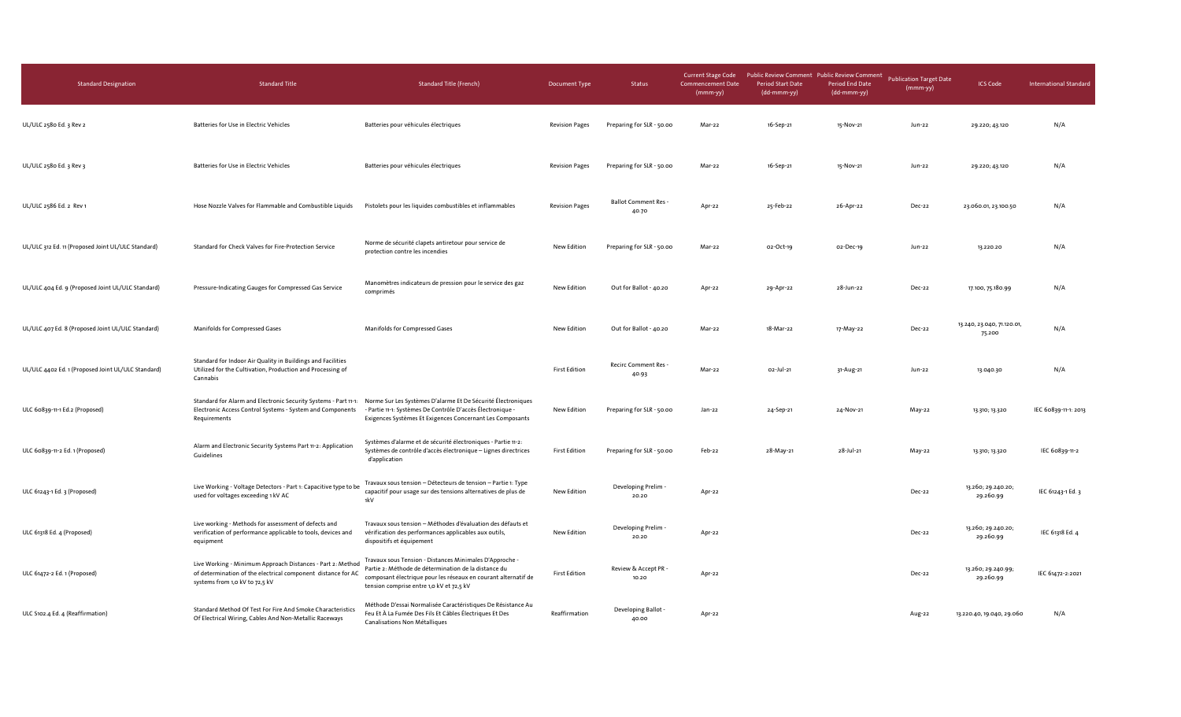| <b>Standard Designation</b>                        | <b>Standard Title</b>                                                                                                                                        | <b>Standard Title (French)</b>                                                                                                                                                                                                | Document Type         | Status                              | <b>Current Stage Code</b><br><b>Commencement Date</b><br>$(mmm-yy)$ | Public Review Comment Public Review Comment<br>Period Start Date<br>(dd-mmm-yy) | Period End Date<br>(dd-mmm-yy) | <b>Publication Target Date</b><br>(mmm-yy) | <b>ICS Code</b>                      | <b>International Standard</b> |
|----------------------------------------------------|--------------------------------------------------------------------------------------------------------------------------------------------------------------|-------------------------------------------------------------------------------------------------------------------------------------------------------------------------------------------------------------------------------|-----------------------|-------------------------------------|---------------------------------------------------------------------|---------------------------------------------------------------------------------|--------------------------------|--------------------------------------------|--------------------------------------|-------------------------------|
| UL/ULC 2580 Ed. 3 Rev 2                            | Batteries for Use in Electric Vehicles                                                                                                                       | Batteries pour véhicules électriques                                                                                                                                                                                          | <b>Revision Pages</b> | Preparing for SLR - 50.00           | Mar-22                                                              | 16-Sep-21                                                                       | 15-Nov-21                      | Jun-22                                     | 29.220; 43.120                       | N/A                           |
| UL/ULC 2580 Ed. 3 Rev 3                            | Batteries for Use in Electric Vehicles                                                                                                                       | Batteries pour véhicules électriques                                                                                                                                                                                          | <b>Revision Pages</b> | Preparing for SLR - 50.00           | Mar-22                                                              | 16-Sep-21                                                                       | 15-Nov-21                      | Jun-22                                     | 29.220; 43.120                       | N/A                           |
| UL/ULC 2586 Ed. 2 Rev 1                            | Hose Nozzle Valves for Flammable and Combustible Liquids                                                                                                     | Pistolets pour les liquides combustibles et inflammables                                                                                                                                                                      | <b>Revision Pages</b> | <b>Ballot Comment Res-</b><br>40.70 | Apr-22                                                              | 25-Feb-22                                                                       | 26-Apr-22                      | Dec-22                                     | 23.060.01, 23.100.50                 | N/A                           |
| UL/ULC 312 Ed. 11 (Proposed Joint UL/ULC Standard) | Standard for Check Valves for Fire-Protection Service                                                                                                        | Norme de sécurité clapets antiretour pour service de<br>protection contre les incendies                                                                                                                                       | New Edition           | Preparing for SLR - 50.00           | Mar-22                                                              | 02-Oct-19                                                                       | 02-Dec-19                      | Jun-22                                     | 13.220.20                            | N/A                           |
| UL/ULC 404 Ed. 9 (Proposed Joint UL/ULC Standard)  | Pressure-Indicating Gauges for Compressed Gas Service                                                                                                        | Manomètres indicateurs de pression pour le service des gaz<br>comprimés                                                                                                                                                       | New Edition           | Out for Ballot - 40.20              | Apr-22                                                              | 29-Apr-22                                                                       | 28-Jun-22                      | Dec-22                                     | 17.100, 75.180.99                    | N/A                           |
| UL/ULC 407 Ed. 8 (Proposed Joint UL/ULC Standard)  | Manifolds for Compressed Gases                                                                                                                               | Manifolds for Compressed Gases                                                                                                                                                                                                | New Edition           | Out for Ballot - 40.20              | Mar-22                                                              | 18-Mar-22                                                                       | 17-May-22                      | Dec-22                                     | 13.240, 23.040, 71.120.01,<br>75.200 | N/A                           |
| UL/ULC 4402 Ed. 1 (Proposed Joint UL/ULC Standard) | Standard for Indoor Air Quality in Buildings and Facilities<br>Utilized for the Cultivation, Production and Processing of<br>Cannabis                        |                                                                                                                                                                                                                               | <b>First Edition</b>  | Recirc Comment Res -<br>40.93       | Mar-22                                                              | 02-Jul-21                                                                       | 31-Aug-21                      | Jun-22                                     | 13.040.30                            | N/A                           |
| ULC 60839-11-1 Ed.2 (Proposed)                     | Standard for Alarm and Electronic Security Systems - Part 11-1:<br>Electronic Access Control Systems - System and Components<br>Requirements                 | Norme Sur Les Systèmes D'alarme Et De Sécurité Électroniques<br>- Partie 11-1: Systèmes De Contrôle D'accès Électronique -<br>Exigences Systèmes Et Exigences Concernant Les Composants                                       | New Edition           | Preparing for SLR - 50.00           | Jan-22                                                              | 24-Sep-21                                                                       | 24-Nov-21                      | May-22                                     | 13.310; 13.320                       | IEC 60839-11-1: 2013          |
| ULC 60839-11-2 Ed. 1 (Proposed)                    | Alarm and Electronic Security Systems Part 11-2: Application<br>Guidelines                                                                                   | Systèmes d'alarme et de sécurité électroniques - Partie 11-2:<br>Systèmes de contrôle d'accès électronique - Lignes directrices<br>d'application                                                                              | <b>First Edition</b>  | Preparing for SLR - 50.00           | Feb-22                                                              | 28-May-21                                                                       | 28-Jul-21                      | May-22                                     | 13.310; 13.320                       | IEC 60839-11-2                |
| ULC 61243-1 Ed. 3 (Proposed)                       | Live Working - Voltage Detectors - Part 1: Capacitive type to be<br>used for voltages exceeding 1 kV AC                                                      | Travaux sous tension - Détecteurs de tension - Partie 1: Type<br>capacitif pour usage sur des tensions alternatives de plus de<br>1kV                                                                                         | New Edition           | Developing Prelim -<br>20.20        | Apr-22                                                              |                                                                                 |                                | Dec-22                                     | 13.260; 29.240.20;<br>29.260.99      | IEC 61243-1 Ed. 3             |
| ULC 61318 Ed. 4 (Proposed)                         | Live working - Methods for assessment of defects and<br>verification of performance applicable to tools, devices and<br>equipment                            | Travaux sous tension - Méthodes d'évaluation des défauts et<br>vérification des performances applicables aux outils,<br>dispositifs et équipement                                                                             | New Edition           | Developing Prelim<br>20.20          | Apr-22                                                              |                                                                                 |                                | Dec-22                                     | 13.260; 29.240.20;<br>29.260.99      | IEC 61318 Ed. 4               |
| ULC 61472-2 Ed. 1 (Proposed)                       | Live Working - Minimum Approach Distances - Part 2: Method<br>of determination of the electrical component distance for AC<br>systems from 1,0 kV to 72,5 kV | Travaux sous Tension - Distances Minimales D'Approche -<br>Partie 2: Méthode de détermination de la distance du<br>composant électrique pour les réseaux en courant alternatif de<br>tension comprise entre 1,0 kV et 72,5 kV | <b>First Edition</b>  | Review & Accept PR -<br>10.20       | Apr-22                                                              |                                                                                 |                                | Dec-22                                     | 13.260; 29.240.99;<br>29.260.99      | IEC 61472-2:2021              |
| ULC S102.4 Ed. 4 (Reaffirmation)                   | Standard Method Of Test For Fire And Smoke Characteristics<br>Of Electrical Wiring, Cables And Non-Metallic Raceways                                         | Méthode D'essai Normalisée Caractéristiques De Résistance Au<br>Feu Et À La Fumée Des Fils Et Câbles Électriques Et Des<br>Canalisations Non Métalliques                                                                      | Reaffirmation         | Developing Ballot -<br>40.00        | Apr-22                                                              |                                                                                 |                                | Aug-22                                     | 13.220.40, 19.040, 29.060            | N/A                           |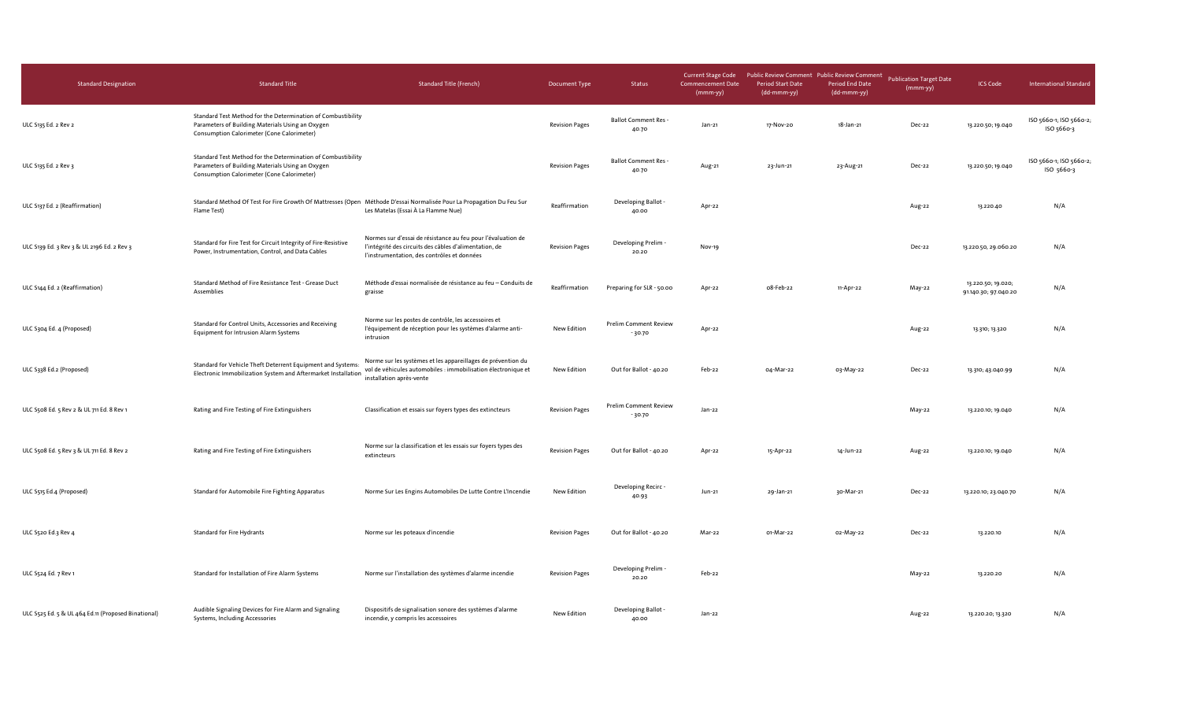| <b>Standard Designation</b>                         | <b>Standard Title</b>                                                                                                                                          | <b>Standard Title (French)</b>                                                                                                                                        | Document Type         | Status                                   | <b>Current Stage Code</b><br><b>Commencement Date</b><br>(mmm-yy) | Public Review Comment Public Review Comment Publication Target Date<br><b>Period Start Date</b><br>(dd-mmm-yy) | <b>Period End Date</b><br>(dd-mmm-yy) | $(mmm-yy)$ | <b>ICS Code</b>                            | <b>International Standard</b>         |
|-----------------------------------------------------|----------------------------------------------------------------------------------------------------------------------------------------------------------------|-----------------------------------------------------------------------------------------------------------------------------------------------------------------------|-----------------------|------------------------------------------|-------------------------------------------------------------------|----------------------------------------------------------------------------------------------------------------|---------------------------------------|------------|--------------------------------------------|---------------------------------------|
| ULC S135 Ed. 2 Rev 2                                | Standard Test Method for the Determination of Combustibility<br>Parameters of Building Materials Using an Oxygen<br>Consumption Calorimeter (Cone Calorimeter) |                                                                                                                                                                       | <b>Revision Pages</b> | Ballot Comment Res -<br>40.70            | Jan-21                                                            | 17-Nov-20                                                                                                      | 18-Jan-21                             | Dec-22     | 13.220.50; 19.040                          | ISO 5660-1; ISO 5660-2;<br>ISO 5660-3 |
| ULC S135 Ed. 2 Rev 3                                | Standard Test Method for the Determination of Combustibility<br>Parameters of Building Materials Using an Oxygen<br>Consumption Calorimeter (Cone Calorimeter) |                                                                                                                                                                       | <b>Revision Pages</b> | <b>Ballot Comment Res -</b><br>40.70     | Aug-21                                                            | 23-Jun-21                                                                                                      | 23-Aug-21                             | Dec-22     | 13.220.50; 19.040                          | ISO 5660-1; ISO 5660-2<br>ISO 5660-3  |
| ULC S137 Ed. 2 (Reaffirmation)                      | Standard Method Of Test For Fire Growth Of Mattresses (Open Méthode D'essai Normalisée Pour La Propagation Du Feu Sur<br>Flame Test)                           | Les Matelas (Essai À La Flamme Nue)                                                                                                                                   | Reaffirmation         | Developing Ballot -<br>40.00             | Apr-22                                                            |                                                                                                                |                                       | Aug-22     | 13.220.40                                  | N/A                                   |
| ULC S139 Ed. 3 Rev 3 & UL 2196 Ed. 2 Rev 3          | Standard for Fire Test for Circuit Integrity of Fire-Resistive<br>Power, Instrumentation, Control, and Data Cables                                             | Normes sur d'essai de résistance au feu pour l'évaluation de<br>l'intégrité des circuits des câbles d'alimentation, de<br>l'instrumentation, des contrôles et données | <b>Revision Pages</b> | Developing Prelim -<br>20.20             | Nov-19                                                            |                                                                                                                |                                       | Dec-22     | 13.220.50, 29.060.20                       | N/A                                   |
| ULC S144 Ed. 2 (Reaffirmation)                      | Standard Method of Fire Resistance Test - Grease Duct<br>Assemblies                                                                                            | Méthode d'essai normalisée de résistance au feu - Conduits de<br>graisse                                                                                              | Reaffirmation         | Preparing for SLR - 50.00                | Apr-22                                                            | o8-Feb-22                                                                                                      | 11-Apr-22                             | May-22     | 13.220.50; 19.020;<br>91.140.30; 97.040.20 | N/A                                   |
| ULC S304 Ed. 4 (Proposed)                           | Standard for Control Units, Accessories and Receiving<br><b>Equipment for Intrusion Alarm Systems</b>                                                          | Norme sur les postes de contrôle, les accessoires et<br>l'équipement de réception pour les systèmes d'alarme anti-<br>intrusion                                       | New Edition           | <b>Prelim Comment Review</b><br>$-30.70$ | Apr-22                                                            |                                                                                                                |                                       | Aug-22     | 13.310; 13.320                             | N/A                                   |
| ULC S338 Ed.2 (Proposed)                            | Standard for Vehicle Theft Deterrent Equipment and Systems<br>Electronic Immobilization System and Aftermarket Installation                                    | Norme sur les systèmes et les appareillages de prévention du<br>vol de véhicules automobiles : immobilisation électronique et<br>installation après-vente             | New Edition           | Out for Ballot - 40.20                   | Feb-22                                                            | 04-Mar-22                                                                                                      | 03-May-22                             | Dec-22     | 13.310; 43.040.99                          | N/A                                   |
| ULC S508 Ed. 5 Rev 2 & UL 711 Ed. 8 Rev 1           | Rating and Fire Testing of Fire Extinguishers                                                                                                                  | Classification et essais sur foyers types des extincteurs                                                                                                             | <b>Revision Pages</b> | <b>Prelim Comment Review</b><br>$-30.70$ | Jan-22                                                            |                                                                                                                |                                       | May-22     | 13.220.10; 19.040                          | N/A                                   |
| ULC S508 Ed. 5 Rev 3 & UL 711 Ed. 8 Rev 2           | Rating and Fire Testing of Fire Extinguishers                                                                                                                  | Norme sur la classification et les essais sur foyers types des<br>extincteurs                                                                                         | <b>Revision Pages</b> | Out for Ballot - 40.20                   | Apr-22                                                            | 15-Apr-22                                                                                                      | 14-Jun-22                             | Aug-22     | 13.220.10; 19.040                          | N/A                                   |
| ULC S515 Ed.4 (Proposed)                            | Standard for Automobile Fire Fighting Apparatus                                                                                                                | Norme Sur Les Engins Automobiles De Lutte Contre L'Incendie                                                                                                           | New Edition           | Developing Recirc -<br>40.93             | Jun-21                                                            | 29-Jan-21                                                                                                      | 30-Mar-21                             | Dec-22     | 13.220.10; 23.040.70                       | N/A                                   |
| ULC S520 Ed.3 Rev 4                                 | <b>Standard for Fire Hydrants</b>                                                                                                                              | Norme sur les poteaux d'incendie                                                                                                                                      | <b>Revision Pages</b> | Out for Ballot - 40.20                   | Mar-22                                                            | 01-Mar-22                                                                                                      | 02-May-22                             | Dec-22     | 13.220.10                                  | N/A                                   |
| ULC S524 Ed. 7 Rev 1                                | Standard for Installation of Fire Alarm Systems                                                                                                                | Norme sur l'installation des systèmes d'alarme incendie                                                                                                               | <b>Revision Pages</b> | Developing Prelim -<br>20.20             | Feb-22                                                            |                                                                                                                |                                       | May-22     | 13.220.20                                  | N/A                                   |
| ULC S525 Ed. 5 & UL 464 Ed.11 (Proposed Binational) | Audible Signaling Devices for Fire Alarm and Signaling<br>Systems, Including Accessories                                                                       | Dispositifs de signalisation sonore des systèmes d'alarme<br>incendie, y compris les accessoires                                                                      | New Edition           | Developing Ballot -<br>40.00             | Jan-22                                                            |                                                                                                                |                                       | Aug-22     | 13.220.20; 13.320                          | N/A                                   |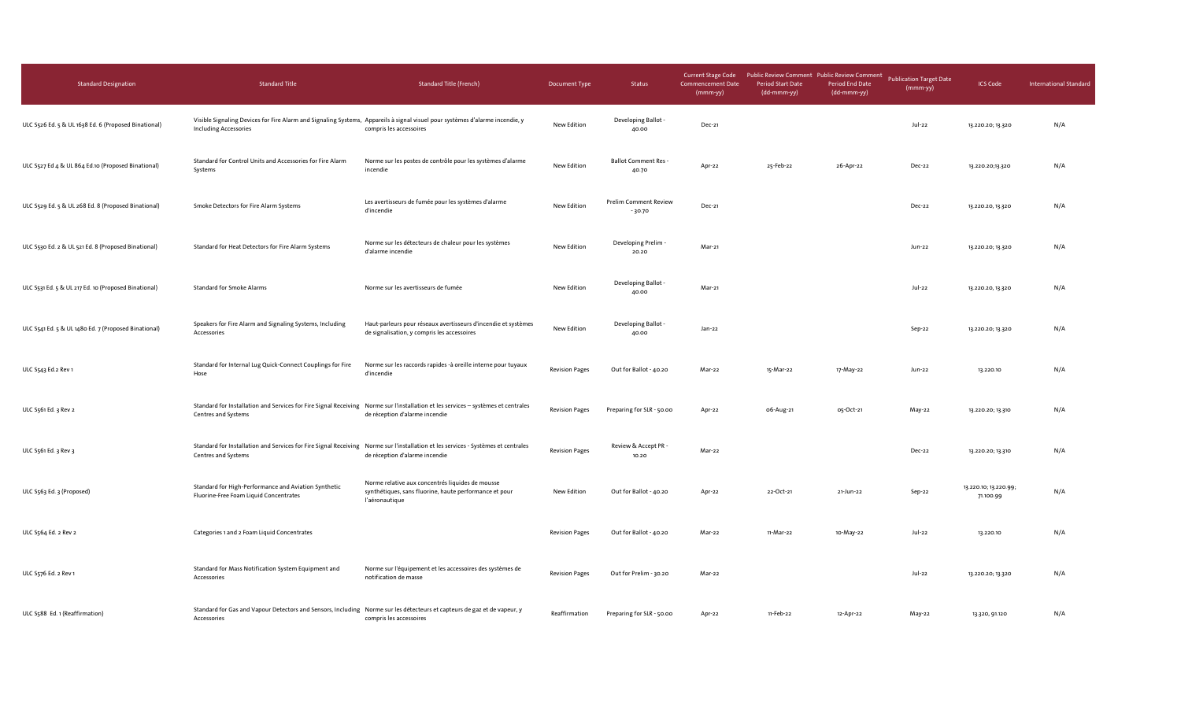| <b>Standard Designation</b>                          | <b>Standard Title</b>                                                                                                                                        | <b>Standard Title (French)</b>                                                                                               | Document Type         | Status                                   | <b>Current Stage Code</b><br>Commencement Date<br>(mmm-yy) | Public Review Comment Public Review Comment<br><b>Period Start Date</b><br>(dd-mmm-yy) | Period End Date<br>(dd-mmm-yy) | <b>Publication Target Date</b><br>(mmm-yy) | <b>ICS Code</b>                    | <b>International Standard</b> |
|------------------------------------------------------|--------------------------------------------------------------------------------------------------------------------------------------------------------------|------------------------------------------------------------------------------------------------------------------------------|-----------------------|------------------------------------------|------------------------------------------------------------|----------------------------------------------------------------------------------------|--------------------------------|--------------------------------------------|------------------------------------|-------------------------------|
| ULC S526 Ed. 5 & UL 1638 Ed. 6 (Proposed Binational) | Visible Signaling Devices for Fire Alarm and Signaling Systems, Appareils à signal visuel pour systèmes d'alarme incendie, y<br><b>Including Accessories</b> | compris les accessoires                                                                                                      | New Edition           | Developing Ballot -<br>40.00             | Dec-21                                                     |                                                                                        |                                | Jul-22                                     | 13.220.20; 13.320                  | N/A                           |
| ULC S527 Ed 4 & UL 864 Ed.10 (Proposed Binational)   | Standard for Control Units and Accessories for Fire Alarm<br>Systems                                                                                         | Norme sur les postes de contrôle pour les systèmes d'alarme<br>incendie                                                      | New Edition           | <b>Ballot Comment Res -</b><br>40.70     | Apr-22                                                     | 25-Feb-22                                                                              | 26-Apr-22                      | Dec-22                                     | 13.220.20;13.320                   | N/A                           |
| ULC S529 Ed. 5 & UL 268 Ed. 8 (Proposed Binational)  | Smoke Detectors for Fire Alarm Systems                                                                                                                       | Les avertisseurs de fumée pour les systèmes d'alarme<br>d'incendie                                                           | New Edition           | <b>Prelim Comment Review</b><br>$-30.70$ | Dec-21                                                     |                                                                                        |                                | Dec-22                                     | 13.220.20, 13.320                  | N/A                           |
| ULC S530 Ed. 2 & UL 521 Ed. 8 (Proposed Binational)  | Standard for Heat Detectors for Fire Alarm Systems                                                                                                           | Norme sur les détecteurs de chaleur pour les systèmes<br>d'alarme incendie                                                   | New Edition           | Developing Prelim -<br>20.20             | Mar-21                                                     |                                                                                        |                                | Jun-22                                     | 13.220.20; 13.320                  | N/A                           |
| ULC S531 Ed. 5 & UL 217 Ed. 10 (Proposed Binational) | <b>Standard for Smoke Alarms</b>                                                                                                                             | Norme sur les avertisseurs de fumée                                                                                          | New Edition           | Developing Ballot -<br>40.00             | Mar-21                                                     |                                                                                        |                                | Jul-22                                     | 13.220.20, 13.320                  | N/A                           |
| ULC S541 Ed. 5 & UL 1480 Ed. 7 (Proposed Binational) | Speakers for Fire Alarm and Signaling Systems, Including<br>Accessories                                                                                      | Haut-parleurs pour réseaux avertisseurs d'incendie et systèmes<br>de signalisation, y compris les accessoires                | New Edition           | Developing Ballot -<br>40.00             | Jan-22                                                     |                                                                                        |                                | Sep-22                                     | 13.220.20; 13.320                  | N/A                           |
| ULC S543 Ed.2 Rev 1                                  | Standard for Internal Lug Quick-Connect Couplings for Fire<br>Hose                                                                                           | Norme sur les raccords rapides -à oreille interne pour tuyaux<br>d'incendie                                                  | <b>Revision Pages</b> | Out for Ballot - 40.20                   | Mar-22                                                     | 15-Mar-22                                                                              | 17-May-22                      | Jun-22                                     | 13.220.10                          | N/A                           |
| ULC 5561 Ed. 3 Rev 2                                 | Standard for Installation and Services for Fire Signal Receiving Norme sur l'installation et les services - systèmes et centrales<br>Centres and Systems     | de réception d'alarme incendie                                                                                               | <b>Revision Pages</b> | Preparing for SLR - 50.00                | Apr-22                                                     | 06-Aug-21                                                                              | 05-Oct-21                      | May-22                                     | 13.220.20; 13.310                  | N/A                           |
| ULC S561 Ed. 3 Rev 3                                 | Standard for Installation and Services for Fire Signal Receiving Norme sur l'installation et les services - Systèmes et centrales<br>Centres and Systems     | de réception d'alarme incendie                                                                                               | <b>Revision Pages</b> | Review & Accept PR -<br>10.20            | Mar-22                                                     |                                                                                        |                                | Dec-22                                     | 13.220.20; 13.310                  | N/A                           |
| ULC S563 Ed. 3 (Proposed)                            | Standard for High-Performance and Aviation Synthetic<br>Fluorine-Free Foam Liquid Concentrates                                                               | Norme relative aux concentrés liquides de mousse<br>synthétiques, sans fluorine, haute performance et pour<br>l'aéronautique | New Edition           | Out for Ballot - 40.20                   | Apr-22                                                     | 22-Oct-21                                                                              | 21-Jun-22                      | Sep-22                                     | 13.220.10; 13.220.99;<br>71.100.99 | N/A                           |
| ULC S564 Ed. 2 Rev 2                                 | Categories 1 and 2 Foam Liquid Concentrates                                                                                                                  |                                                                                                                              | <b>Revision Pages</b> | Out for Ballot - 40.20                   | Mar-22                                                     | 11-Mar-22                                                                              | 10-May-22                      | Jul-22                                     | 13.220.10                          | N/A                           |
| ULC S576 Ed. 2 Rev 1                                 | Standard for Mass Notification System Equipment and<br>Accessories                                                                                           | Norme sur l'équipement et les accessoires des systèmes de<br>notification de masse                                           | <b>Revision Pages</b> | Out for Prelim - 30.20                   | Mar-22                                                     |                                                                                        |                                | Jul-22                                     | 13.220.20; 13.320                  | N/A                           |
| ULC S588 Ed. 1 (Reaffirmation)                       | Standard for Gas and Vapour Detectors and Sensors, Including Norme sur les détecteurs et capteurs de gaz et de vapeur, y<br>Accessories                      | compris les accessoires                                                                                                      | Reaffirmation         | Preparing for SLR - 50.00                | Apr-22                                                     | 11-Feb-22                                                                              | 12-Apr-22                      | May-22                                     | 13.320, 91.120                     | N/A                           |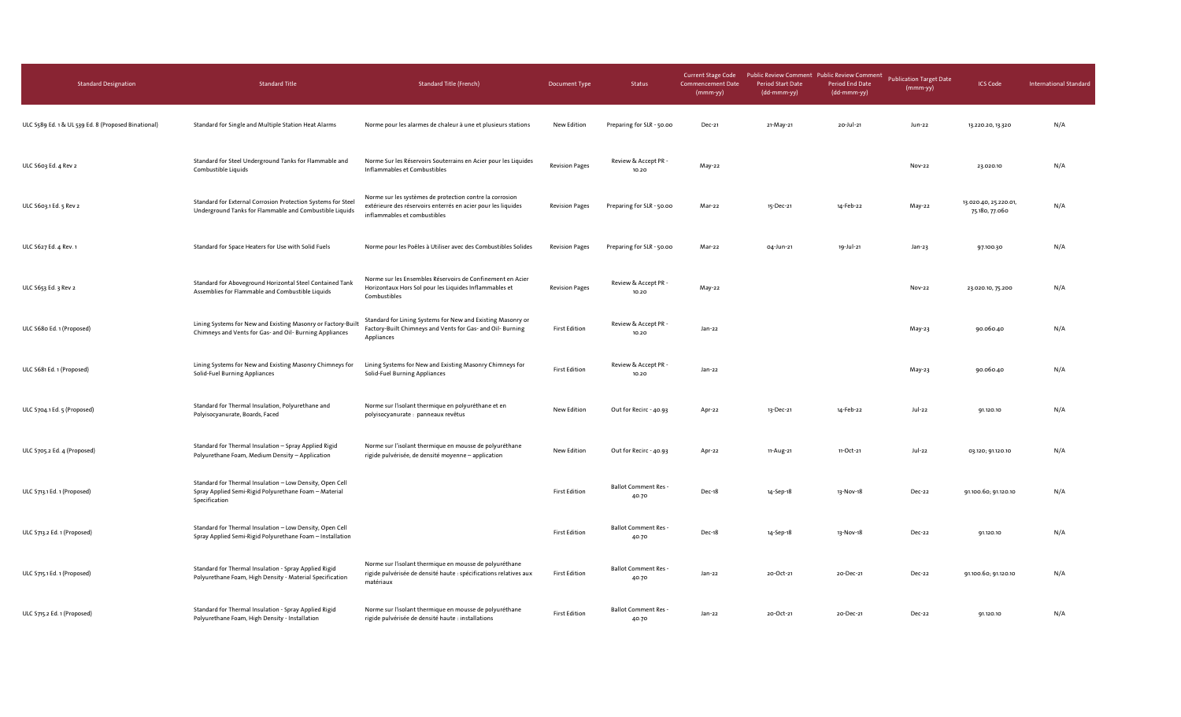| <b>Standard Designation</b>                         | <b>Standard Title</b>                                                                                                              | <b>Standard Title (French)</b>                                                                                                                            | Document Type         | Status                               | <b>Current Stage Code</b><br><b>Commencement Date</b><br>$(mmm-yy)$ | Public Review Comment Public Review Comment<br><b>Period Start Date</b><br>(dd-mmm-yy) | <b>Period End Date</b><br>(dd-mmm-yy) | <b>Publication Target Date</b><br>(mmm-yy) | <b>ICS Code</b>                         | <b>International Standard</b> |
|-----------------------------------------------------|------------------------------------------------------------------------------------------------------------------------------------|-----------------------------------------------------------------------------------------------------------------------------------------------------------|-----------------------|--------------------------------------|---------------------------------------------------------------------|----------------------------------------------------------------------------------------|---------------------------------------|--------------------------------------------|-----------------------------------------|-------------------------------|
| ULC S589 Ed. 1 & UL 539 Ed. 8 (Proposed Binational) | Standard for Single and Multiple Station Heat Alarms                                                                               | Norme pour les alarmes de chaleur à une et plusieurs stations                                                                                             | New Edition           | Preparing for SLR - 50.00            | Dec-21                                                              | 21-May-21                                                                              | 20-Jul-21                             | Jun-22                                     | 13.220.20, 13.320                       | N/A                           |
| ULC S603 Ed. 4 Rev 2                                | Standard for Steel Underground Tanks for Flammable and<br>Combustible Liquids                                                      | Norme Sur les Réservoirs Souterrains en Acier pour les Liquides<br>Inflammables et Combustibles                                                           | <b>Revision Pages</b> | Review & Accept PR -<br>10.20        | May-22                                                              |                                                                                        |                                       | Nov-22                                     | 23.020.10                               | N/A                           |
| ULC 5603.1 Ed. 5 Rev 2                              | Standard for External Corrosion Protection Systems for Steel<br>Underground Tanks for Flammable and Combustible Liquids            | Norme sur les systèmes de protection contre la corrosion<br>extérieure des réservoirs enterrés en acier pour les liquides<br>inflammables et combustibles | <b>Revision Pages</b> | Preparing for SLR - 50.00            | Mar-22                                                              | 15-Dec-21                                                                              | 14-Feb-22                             | May-22                                     | 13.020.40, 25.220.01,<br>75.180, 77.060 | N/A                           |
| ULC S627 Ed. 4 Rev. 1                               | Standard for Space Heaters for Use with Solid Fuels                                                                                | Norme pour les Poêles à Utiliser avec des Combustibles Solides                                                                                            | <b>Revision Pages</b> | Preparing for SLR - 50.00            | Mar-22                                                              | 04-Jun-21                                                                              | 19-Jul-21                             | Jan-23                                     | 97.100.30                               | N/A                           |
| ULC S653 Ed. 3 Rev 2                                | Standard for Aboveground Horizontal Steel Contained Tank<br>Assemblies for Flammable and Combustible Liquids                       | Norme sur les Ensembles Réservoirs de Confinement en Acier<br>Horizontaux Hors Sol pour les Liquides Inflammables et<br>Combustibles                      | <b>Revision Pages</b> | Review & Accept PR -<br>10.20        | May-22                                                              |                                                                                        |                                       | Nov-22                                     | 23.020.10, 75.200                       | N/A                           |
| ULC S680 Ed. 1 (Proposed)                           | Lining Systems for New and Existing Masonry or Factory-Buil<br>Chimneys and Vents for Gas- and Oil- Burning Appliances             | Standard for Lining Systems for New and Existing Masonry or<br>Factory-Built Chimneys and Vents for Gas- and Oil- Burning<br>Appliances                   | <b>First Edition</b>  | Review & Accept PR -<br>10.20        | Jan-22                                                              |                                                                                        |                                       | May-23                                     | 90.060.40                               | N/A                           |
| ULC S681 Ed. 1 (Proposed)                           | Lining Systems for New and Existing Masonry Chimneys for<br>Solid-Fuel Burning Appliances                                          | Lining Systems for New and Existing Masonry Chimneys for<br>Solid-Fuel Burning Appliances                                                                 | <b>First Edition</b>  | Review & Accept PR -<br>10.20        | Jan-22                                                              |                                                                                        |                                       | May-23                                     | 90.060.40                               | N/A                           |
| ULC S704.1 Ed. 5 (Proposed)                         | Standard for Thermal Insulation, Polyurethane and<br>Polyisocyanurate, Boards, Faced                                               | Norme sur l'isolant thermique en polyuréthane et en<br>polyisocyanurate : panneaux revêtus                                                                | New Edition           | Out for Recirc - 40.93               | Apr-22                                                              | 13-Dec-21                                                                              | 14-Feb-22                             | Jul-22                                     | 91.120.10                               | N/A                           |
| ULC S705.2 Ed. 4 (Proposed)                         | Standard for Thermal Insulation - Spray Applied Rigid<br>Polyurethane Foam, Medium Density - Application                           | Norme sur l'isolant thermique en mousse de polyuréthane<br>rigide pulvérisée, de densité moyenne - application                                            | New Edition           | Out for Recirc - 40.93               | Apr-22                                                              | 11-Aug-21                                                                              | 11-Oct-21                             | Jul-22                                     | 03.120; 91.120.10                       | N/A                           |
| ULC S713.1 Ed. 1 (Proposed)                         | Standard for Thermal Insulation - Low Density, Open Cell<br>Spray Applied Semi-Rigid Polyurethane Foam - Material<br>Specification |                                                                                                                                                           | <b>First Edition</b>  | <b>Ballot Comment Res -</b><br>40.70 | Dec-18                                                              | 14-Sep-18                                                                              | 13-Nov-18                             | Dec-22                                     | 91.100.60; 91.120.10                    | N/A                           |
| ULC S713.2 Ed. 1 (Proposed)                         | Standard for Thermal Insulation - Low Density, Open Cell<br>Spray Applied Semi-Rigid Polyurethane Foam - Installation              |                                                                                                                                                           | <b>First Edition</b>  | <b>Ballot Comment Res -</b><br>40.70 | Dec-18                                                              | 14-Sep-18                                                                              | 13-Nov-18                             | Dec-22                                     | 91.120.10                               | N/A                           |
| ULC S715.1 Ed. 1 (Proposed)                         | Standard for Thermal Insulation - Spray Applied Rigid<br>Polyurethane Foam, High Density - Material Specification                  | Norme sur l'isolant thermique en mousse de polyuréthane<br>rigide pulvérisée de densité haute : spécifications relatives aux<br>matériaux                 | <b>First Edition</b>  | <b>Ballot Comment Res -</b><br>40.70 | Jan-22                                                              | 20-Oct-21                                                                              | 20-Dec-21                             | Dec-22                                     | 91.100.60; 91.120.10                    | N/A                           |
| ULC S715.2 Ed. 1 (Proposed)                         | Standard for Thermal Insulation - Spray Applied Rigid<br>Polyurethane Foam, High Density - Installation                            | Norme sur l'isolant thermique en mousse de polyuréthane<br>rigide pulvérisée de densité haute : installations                                             | <b>First Edition</b>  | <b>Ballot Comment Res-</b><br>40.70  | Jan-22                                                              | 20-Oct-21                                                                              | 20-Dec-21                             | Dec-22                                     | 91.120.10                               | N/A                           |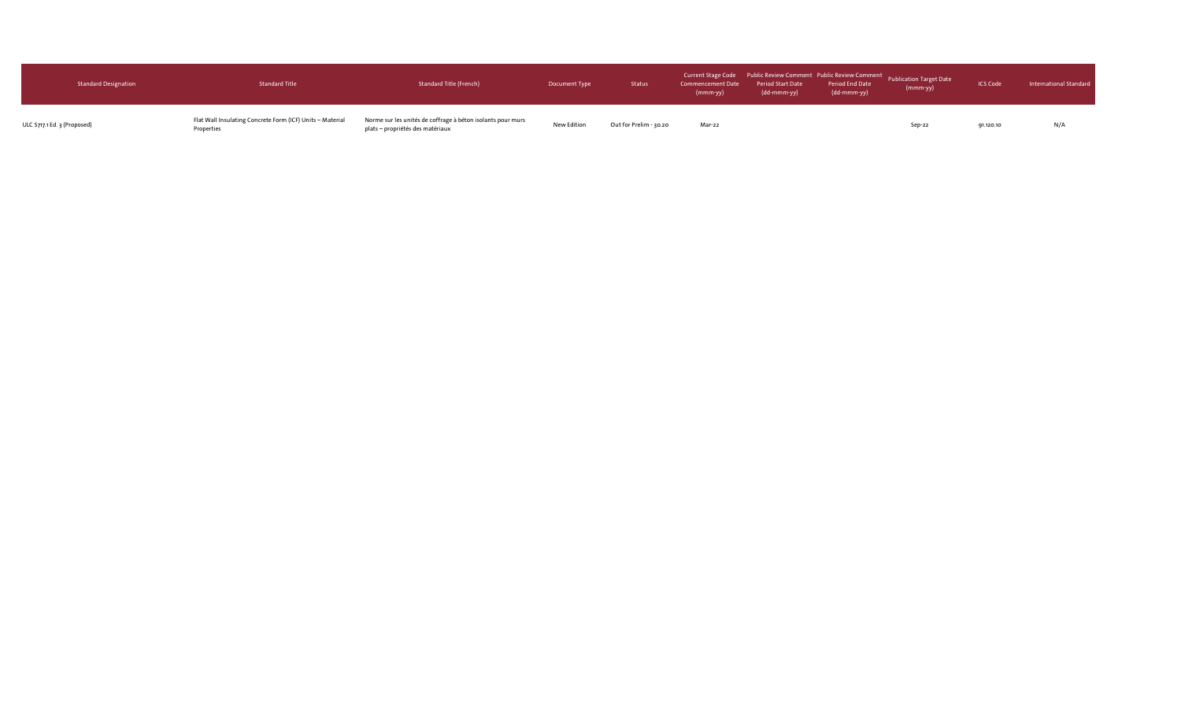| <b>Standard Designation</b> | <b>Standard Title</b>                                                   | Standard Title (French)                                                                         | Document Type | Status                 | $(mmm-vy)$ | $\ddot{\hspace{1cm}}$ (dd-mmm-yy) | (dd-mmm-yy) | Current Stage Code Public Review Comment Public Review Comment Publication Target Date<br>Commencement Date Period Start Date Period Pate Publication Target Date<br>(nmm-yy) (nmm-yy) (dd.mmm-yy) (dd.mmm-yy) | <b>ICS Code</b> | International Standard |
|-----------------------------|-------------------------------------------------------------------------|-------------------------------------------------------------------------------------------------|---------------|------------------------|------------|-----------------------------------|-------------|----------------------------------------------------------------------------------------------------------------------------------------------------------------------------------------------------------------|-----------------|------------------------|
| ULC S717.1 Ed. 3 (Proposed) | Flat Wall Insulating Concrete Form (ICF) Units - Material<br>Properties | Norme sur les unités de coffrage à béton isolants pour murs<br>plats – propriétés des matériaux | New Edition   | Out for Prelim - 30.20 | Mar-22     |                                   |             | Sep-22                                                                                                                                                                                                         | 91.120.10       | N/A                    |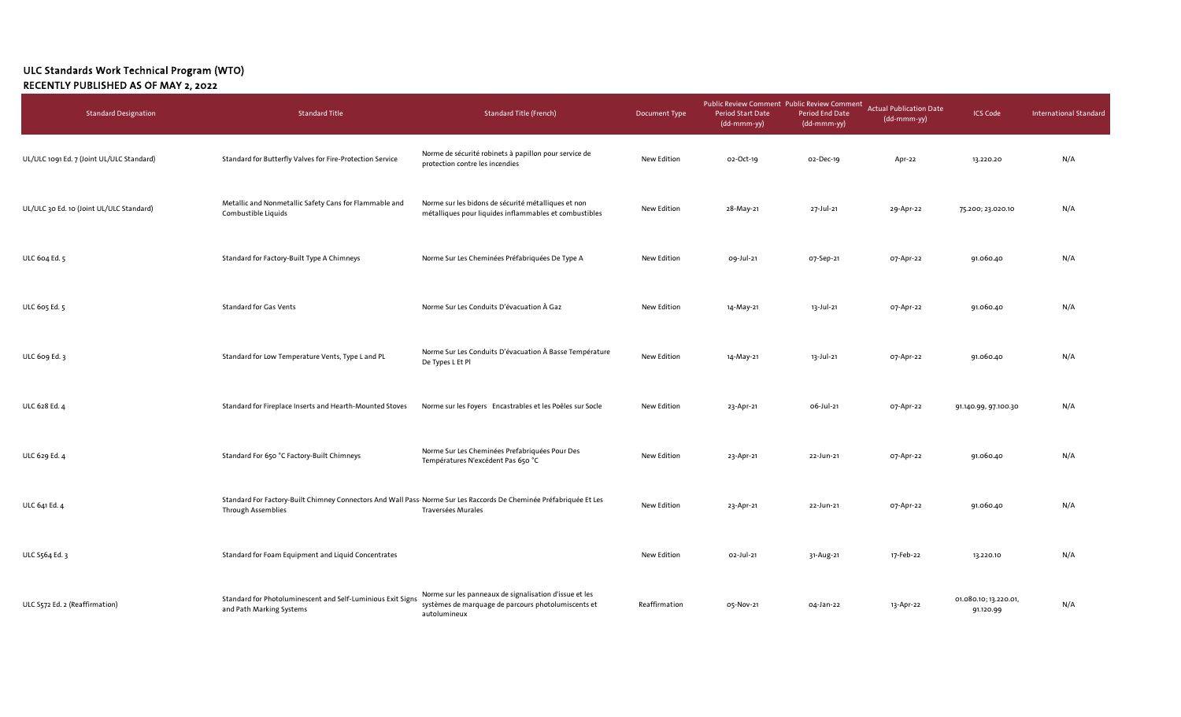## ULC Standards Work Technical Program (WTO) RECENTLY PUBLISHED AS OF MAY 2, 2022

| <b>Standard Designation</b>               | <b>Standard Title</b>                                                                                                                           | <b>Standard Title (French)</b>                                                                                                | Document Type | Public Review Comment Public Review Comment<br>Period Start Date<br>$(dd\text{-}\text{mmm-yy})$ | Period End Date<br>(dd-mmm-yy) | <b>Actual Publication Date</b><br>(dd-mmm-yy) | <b>ICS Code</b>                    | <b>International Standard</b> |
|-------------------------------------------|-------------------------------------------------------------------------------------------------------------------------------------------------|-------------------------------------------------------------------------------------------------------------------------------|---------------|-------------------------------------------------------------------------------------------------|--------------------------------|-----------------------------------------------|------------------------------------|-------------------------------|
| UL/ULC 1091 Ed. 7 (Joint UL/ULC Standard) | Standard for Butterfly Valves for Fire-Protection Service                                                                                       | Norme de sécurité robinets à papillon pour service de<br>protection contre les incendies                                      | New Edition   | o2-Oct-19                                                                                       | 02-Dec-19                      | Apr-22                                        | 13.220.20                          | N/A                           |
| UL/ULC 30 Ed. 10 (Joint UL/ULC Standard)  | Metallic and Nonmetallic Safety Cans for Flammable and<br>Combustible Liquids                                                                   | Norme sur les bidons de sécurité métalliques et non<br>métalliques pour liquides inflammables et combustibles                 | New Edition   | 28-May-21                                                                                       | 27-Jul-21                      | 29-Apr-22                                     | 75.200; 23.020.10                  | N/A                           |
| ULC 604 Ed. 5                             | Standard for Factory-Built Type A Chimneys                                                                                                      | Norme Sur Les Cheminées Préfabriquées De Type A                                                                               | New Edition   | 09-Jul-21                                                                                       | 07-Sep-21                      | 07-Apr-22                                     | 91.060.40                          | N/A                           |
| ULC 605 Ed. 5                             | <b>Standard for Gas Vents</b>                                                                                                                   | Norme Sur Les Conduits D'évacuation À Gaz                                                                                     | New Edition   | 14-May-21                                                                                       | 13-Jul-21                      | 07-Apr-22                                     | 91.060.40                          | N/A                           |
| ULC 609 Ed. 3                             | Standard for Low Temperature Vents, Type L and PL                                                                                               | Norme Sur Les Conduits D'évacuation À Basse Température<br>De Types L Et Pl                                                   | New Edition   | 14-May-21                                                                                       | 13-Jul-21                      | 07-Apr-22                                     | 91.060.40                          | N/A                           |
| ULC 628 Ed. 4                             | Standard for Fireplace Inserts and Hearth-Mounted Stoves                                                                                        | Norme sur les Foyers Encastrables et les Poêles sur Socle                                                                     | New Edition   | 23-Apr-21                                                                                       | 06-Jul-21                      | 07-Apr-22                                     | 91.140.99, 97.100.30               | N/A                           |
| ULC 629 Ed. 4                             | Standard For 650 °C Factory-Built Chimneys                                                                                                      | Norme Sur Les Cheminées Prefabriquées Pour Des<br>Températures N'excédent Pas 650 °C                                          | New Edition   | 23-Apr-21                                                                                       | 22-Jun-21                      | 07-Apr-22                                     | 91.060.40                          | N/A                           |
| ULC 641 Ed. 4                             | Standard For Factory-Built Chimney Connectors And Wall Pass Norme Sur Les Raccords De Cheminée Préfabriquée Et Les<br><b>Through Assemblies</b> | Traversées Murales                                                                                                            | New Edition   | 23-Apr-21                                                                                       | 22-Jun-21                      | 07-Apr-22                                     | 91.060.40                          | N/A                           |
| ULC S564 Ed. 3                            | Standard for Foam Equipment and Liquid Concentrates                                                                                             |                                                                                                                               | New Edition   | 02-Jul-21                                                                                       | 31-Aug-21                      | 17-Feb-22                                     | 13.220.10                          | N/A                           |
| ULC S572 Ed. 2 (Reaffirmation)            | Standard for Photoluminescent and Self-Luminious Exit Signs<br>and Path Marking Systems                                                         | Norme sur les panneaux de signalisation d'issue et les<br>systèmes de marquage de parcours photolumiscents et<br>autolumineux | Reaffirmation | 05-Nov-21                                                                                       | 04-Jan-22                      | 13-Apr-22                                     | 01.080.10; 13.220.01,<br>91.120.99 | N/A                           |